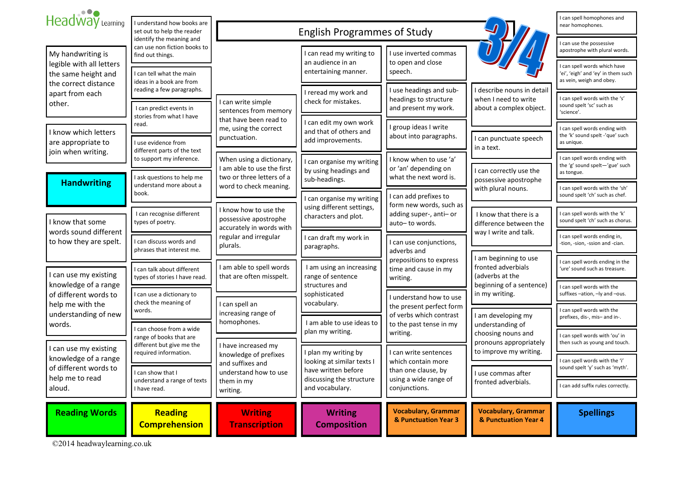| $\bullet\bullet$<br>Headway Learning                                                                                                                                                                                                                      | I understand how books are<br>set out to help the reader                                                                             | <b>English Programmes of Study</b>                                                                                              | I can spell homophones and<br>near homophones.                                                                                               |                                                                                                                                                                                                                                                                                                    |                                                                                                                                                                                      |                                                                                                |
|-----------------------------------------------------------------------------------------------------------------------------------------------------------------------------------------------------------------------------------------------------------|--------------------------------------------------------------------------------------------------------------------------------------|---------------------------------------------------------------------------------------------------------------------------------|----------------------------------------------------------------------------------------------------------------------------------------------|----------------------------------------------------------------------------------------------------------------------------------------------------------------------------------------------------------------------------------------------------------------------------------------------------|--------------------------------------------------------------------------------------------------------------------------------------------------------------------------------------|------------------------------------------------------------------------------------------------|
| My handwriting is                                                                                                                                                                                                                                         | identify the meaning and<br>can use non fiction books to<br>find out things.                                                         |                                                                                                                                 | I can use the possessive<br>apostrophe with plural words.                                                                                    |                                                                                                                                                                                                                                                                                                    |                                                                                                                                                                                      |                                                                                                |
| legible with all letters<br>the same height and<br>the correct distance                                                                                                                                                                                   | I can tell what the main<br>ideas in a book are from                                                                                 | I can write simple<br>sentences from memory<br>that have been read to<br>me, using the correct                                  | an audience in an<br>entertaining manner.<br>I reread my work and<br>check for mistakes.<br>I can edit my own work<br>and that of others and | to open and close<br>speech.<br>use headings and sub-<br>headings to structure<br>and present my work.                                                                                                                                                                                             | I describe nouns in detail<br>when I need to write<br>about a complex object.                                                                                                        | I can spell words which have<br>'ei', 'eigh' and 'ey' in them such<br>as vein, weigh and obey. |
| apart from each<br>other.<br>I know which letters                                                                                                                                                                                                         | reading a few paragraphs.<br>I can predict events in                                                                                 |                                                                                                                                 |                                                                                                                                              |                                                                                                                                                                                                                                                                                                    |                                                                                                                                                                                      | I can spell words with the 's'<br>sound spelt 'sc' such as                                     |
|                                                                                                                                                                                                                                                           | stories from what I have<br>read.                                                                                                    |                                                                                                                                 |                                                                                                                                              | I group ideas I write                                                                                                                                                                                                                                                                              |                                                                                                                                                                                      | 'science'.<br>I can spell words ending with<br>the 'k' sound spelt -'que' such                 |
| are appropriate to<br>join when writing.<br><b>Handwriting</b>                                                                                                                                                                                            | I use evidence from<br>different parts of the text<br>to support my inference.                                                       | punctuation.<br>When using a dictionary,<br>I am able to use the first<br>two or three letters of a                             | add improvements.<br>I can organise my writing<br>by using headings and<br>sub-headings.<br>I can organise my writing                        | about into paragraphs.<br>I know when to use 'a'<br>or 'an' depending on<br>what the next word is.<br>can add prefixes to<br>form new words, such as                                                                                                                                               | I can punctuate speech<br>in a text.<br>I can correctly use the<br>possessive apostrophe                                                                                             | as unique.<br>I can spell words ending with                                                    |
|                                                                                                                                                                                                                                                           | I ask questions to help me                                                                                                           |                                                                                                                                 |                                                                                                                                              |                                                                                                                                                                                                                                                                                                    |                                                                                                                                                                                      | the 'g' sound spelt-'gue' such<br>as tongue.                                                   |
| I know that some                                                                                                                                                                                                                                          | understand more about a<br>book.                                                                                                     | word to check meaning.<br>I know how to use the<br>possessive apostrophe<br>accurately in words with                            |                                                                                                                                              |                                                                                                                                                                                                                                                                                                    | with plural nouns.<br>I know that there is a<br>difference between the                                                                                                               | I can spell words with the 'sh'<br>sound spelt 'ch' such as chef.                              |
|                                                                                                                                                                                                                                                           | I can recognise different<br>types of poetry.                                                                                        |                                                                                                                                 | using different settings,<br>characters and plot.                                                                                            | adding super-, anti- or<br>auto-to words.                                                                                                                                                                                                                                                          |                                                                                                                                                                                      | I can spell words with the 'k'<br>sound spelt 'ch' such as chorus.                             |
| words sound different<br>to how they are spelt.<br>I can use my existing<br>knowledge of a range<br>of different words to<br>help me with the<br>understanding of new<br>words.<br>I can use my existing<br>knowledge of a range<br>of different words to | I can discuss words and<br>phrases that interest me.                                                                                 | regular and irregular<br>plurals.<br>I am able to spell words<br>that are often misspelt.<br>I can spell an                     | I can draft my work in<br>paragraphs.<br>I am using an increasing<br>range of sentence<br>structures and<br>sophisticated<br>vocabulary.     | can use conjunctions,<br>adverbs and<br>prepositions to express<br>time and cause in my<br>writing.<br>I understand how to use<br>the present perfect form<br>of verbs which contrast<br>to the past tense in my<br>writing.<br>I can write sentences<br>which contain more<br>than one clause, by | way I write and talk.<br>I am beginning to use<br>fronted adverbials<br>(adverbs at the                                                                                              | I can spell words ending in,<br>-tion, -sion, -ssion and -cian.                                |
|                                                                                                                                                                                                                                                           | I can talk about different<br>types of stories I have read.                                                                          |                                                                                                                                 |                                                                                                                                              |                                                                                                                                                                                                                                                                                                    |                                                                                                                                                                                      | I can spell words ending in the<br>'ure' sound such as treasure.                               |
|                                                                                                                                                                                                                                                           | I can use a dictionary to<br>check the meaning of                                                                                    |                                                                                                                                 |                                                                                                                                              |                                                                                                                                                                                                                                                                                                    | beginning of a sentence)<br>in my writing.<br>I am developing my<br>understanding of<br>choosing nouns and<br>pronouns appropriately<br>to improve my writing.<br>I use commas after | I can spell words with the<br>suffixes -ation, -ly and -ous.                                   |
|                                                                                                                                                                                                                                                           | words.<br>can choose from a wide<br>range of books that are<br>different but give me the<br>required information.<br>can show that I | increasing range of<br>homophones.<br>I have increased my<br>knowledge of prefixes<br>and suffixes and<br>understand how to use | I am able to use ideas to<br>plan my writing.<br>I plan my writing by<br>looking at similar texts I<br>have written before                   |                                                                                                                                                                                                                                                                                                    |                                                                                                                                                                                      | I can spell words with the<br>prefixes, dis-, mis- and in-.                                    |
|                                                                                                                                                                                                                                                           |                                                                                                                                      |                                                                                                                                 |                                                                                                                                              |                                                                                                                                                                                                                                                                                                    |                                                                                                                                                                                      | I can spell words with 'ou' in<br>then such as young and touch.                                |
|                                                                                                                                                                                                                                                           |                                                                                                                                      |                                                                                                                                 |                                                                                                                                              |                                                                                                                                                                                                                                                                                                    |                                                                                                                                                                                      | I can spell words with the 'i'<br>sound spelt 'y' such as 'myth'.                              |
| help me to read<br>aloud.                                                                                                                                                                                                                                 | understand a range of texts<br>I have read.                                                                                          | them in my<br>writing.                                                                                                          | discussing the structure<br>and vocabulary.                                                                                                  | using a wide range of<br>conjunctions.                                                                                                                                                                                                                                                             | fronted adverbials.                                                                                                                                                                  | I can add suffix rules correctly.                                                              |
| <b>Reading Words</b>                                                                                                                                                                                                                                      | <b>Reading</b><br><b>Comprehension</b>                                                                                               | <b>Writing</b><br><b>Transcription</b>                                                                                          | <b>Writing</b><br><b>Composition</b>                                                                                                         | <b>Vocabulary, Grammar</b><br>& Punctuation Year 3                                                                                                                                                                                                                                                 | <b>Vocabulary, Grammar</b><br>& Punctuation Year 4                                                                                                                                   | <b>Spellings</b>                                                                               |

©2014 headwaylearning.co.uk